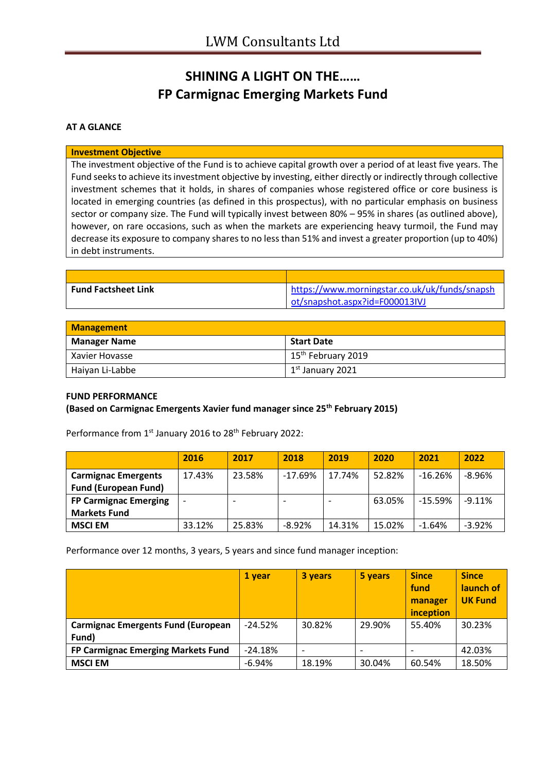# **SHINING A LIGHT ON THE…… FP Carmignac Emerging Markets Fund**

## **AT A GLANCE**

#### **Investment Objective**

The investment objective of the Fund is to achieve capital growth over a period of at least five years. The Fund seeks to achieve its investment objective by investing, either directly or indirectly through collective investment schemes that it holds, in shares of companies whose registered office or core business is located in emerging countries (as defined in this prospectus), with no particular emphasis on business sector or company size. The Fund will typically invest between 80% – 95% in shares (as outlined above), however, on rare occasions, such as when the markets are experiencing heavy turmoil, the Fund may decrease its exposure to company shares to no less than 51% and invest a greater proportion (up to 40%) in debt instruments.

| <b>Fund Factsheet Link</b> | https://www.morningstar.co.uk/uk/funds/snapsh |
|----------------------------|-----------------------------------------------|
|                            | ot/snapshot.aspx?id=F000013IVJ                |

| <b>Management</b>   |                                      |
|---------------------|--------------------------------------|
| <b>Manager Name</b> | <b>Start Date</b>                    |
| l Xavier Hovasse    | 15 <sup>th</sup> February 2019       |
| Haiyan Li-Labbe     | $\vert$ 1 <sup>st</sup> January 2021 |

### **FUND PERFORMANCE**

**(Based on Carmignac Emergents Xavier fund manager since 25th February 2015)**

| Performance from 1 <sup>st</sup> January 2016 to 28 <sup>th</sup> February 2022: |  |  |
|----------------------------------------------------------------------------------|--|--|
|----------------------------------------------------------------------------------|--|--|

|                              | 2016                     | 2017   | 2018      | 2019   | 2020   | 2021      | 2022     |
|------------------------------|--------------------------|--------|-----------|--------|--------|-----------|----------|
| <b>Carmignac Emergents</b>   | 17.43%                   | 23.58% | $-17.69%$ | 17.74% | 52.82% | $-16.26%$ | $-8.96%$ |
| <b>Fund (European Fund)</b>  |                          |        |           |        |        |           |          |
| <b>FP Carmignac Emerging</b> | $\overline{\phantom{a}}$ |        |           |        | 63.05% | -15.59%   | $-9.11%$ |
| <b>Markets Fund</b>          |                          |        |           |        |        |           |          |
| <b>MSCI EM</b>               | 33.12%                   | 25.83% | $-8.92%$  | 14.31% | 15.02% | $-1.64%$  | $-3.92%$ |

Performance over 12 months, 3 years, 5 years and since fund manager inception:

|                                           | 1 year    | 3 years | 5 years | <b>Since</b><br>fund<br>manager<br>inception | <b>Since</b><br>launch of<br><b>UK Fund</b> |
|-------------------------------------------|-----------|---------|---------|----------------------------------------------|---------------------------------------------|
| <b>Carmignac Emergents Fund (European</b> | $-24.52%$ | 30.82%  | 29.90%  | 55.40%                                       | 30.23%                                      |
| Fund)                                     |           |         |         |                                              |                                             |
| FP Carmignac Emerging Markets Fund        | $-24.18%$ |         |         |                                              | 42.03%                                      |
| <b>MSCI EM</b>                            | $-6.94%$  | 18.19%  | 30.04%  | 60.54%                                       | 18.50%                                      |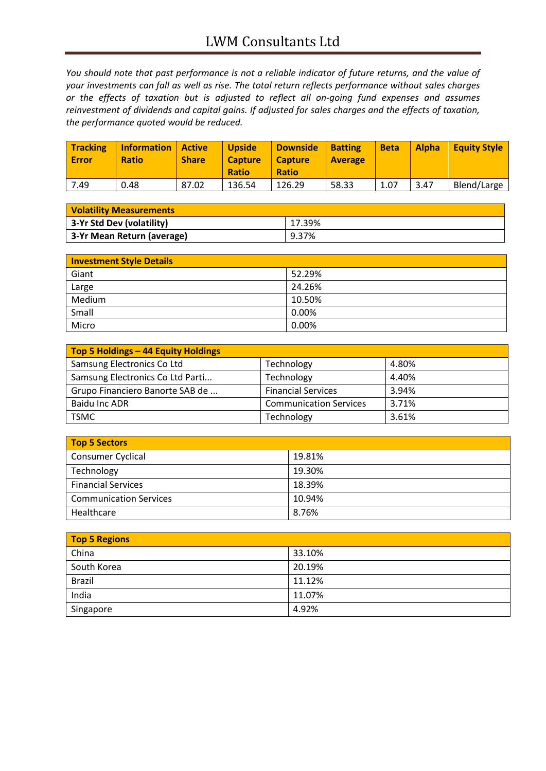*You should note that past performance is not a reliable indicator of future returns, and the value of your investments can fall as well as rise. The total return reflects performance without sales charges or the effects of taxation but is adjusted to reflect all on-going fund expenses and assumes reinvestment of dividends and capital gains. If adjusted for sales charges and the effects of taxation, the performance quoted would be reduced.*

| <b>Tracking</b><br><b>Error</b> | <b>Information</b><br><b>Ratio</b> | <b>Active</b><br><b>Share</b> | <b>Upside</b><br><b>Capture</b><br><b>Ratio</b> | <b>Downside</b><br><b>Capture</b><br><b>Ratio</b> | <b>Batting</b><br><b>Average</b> | <b>Beta</b> | <b>Alpha</b> | <b>Equity Style</b> |
|---------------------------------|------------------------------------|-------------------------------|-------------------------------------------------|---------------------------------------------------|----------------------------------|-------------|--------------|---------------------|
| 7.49                            | 0.48                               | 87.02                         | 136.54                                          | 126.29                                            | 58.33                            | 1.07        | 3.47         | Blend/Large         |

| <b>Volatility Measurements</b> |        |
|--------------------------------|--------|
| 3-Yr Std Dev (volatility)      | 17.39% |
| 3-Yr Mean Return (average)     | 9.37%  |

| <b>Investment Style Details</b> |        |
|---------------------------------|--------|
| Giant                           | 52.29% |
| Large                           | 24.26% |
| Medium                          | 10.50% |
| Small                           | 0.00%  |
| Micro                           | 0.00%  |

| Top 5 Holdings - 44 Equity Holdings |                               |       |
|-------------------------------------|-------------------------------|-------|
| Samsung Electronics Co Ltd          | Technology                    | 4.80% |
| Samsung Electronics Co Ltd Parti    | Technology                    | 4.40% |
| Grupo Financiero Banorte SAB de     | <b>Financial Services</b>     | 3.94% |
| Baidu Inc ADR                       | <b>Communication Services</b> | 3.71% |
| <b>TSMC</b>                         | Technology                    | 3.61% |

| Top 5 Sectors                 |        |
|-------------------------------|--------|
| Consumer Cyclical             | 19.81% |
| Technology                    | 19.30% |
| <b>Financial Services</b>     | 18.39% |
| <b>Communication Services</b> | 10.94% |
| Healthcare                    | 8.76%  |

| Top 5 Regions |        |
|---------------|--------|
| China         | 33.10% |
| South Korea   | 20.19% |
| <b>Brazil</b> | 11.12% |
| India         | 11.07% |
| Singapore     | 4.92%  |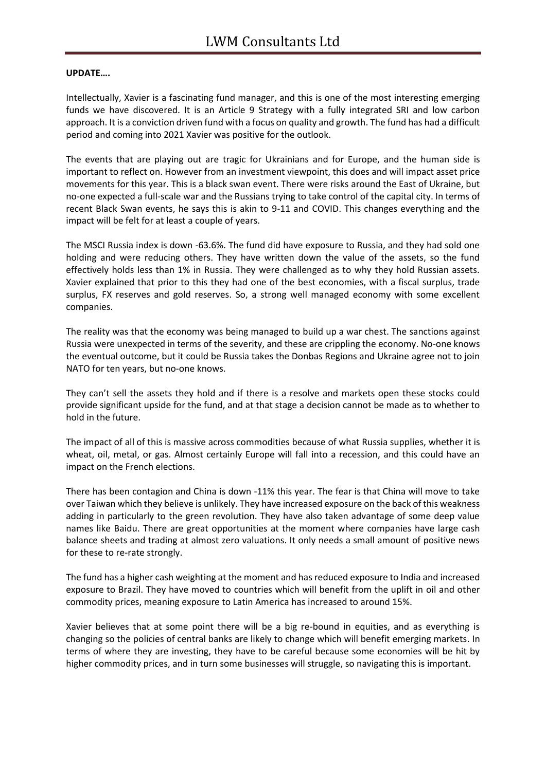## **UPDATE….**

Intellectually, Xavier is a fascinating fund manager, and this is one of the most interesting emerging funds we have discovered. It is an Article 9 Strategy with a fully integrated SRI and low carbon approach. It is a conviction driven fund with a focus on quality and growth. The fund has had a difficult period and coming into 2021 Xavier was positive for the outlook.

The events that are playing out are tragic for Ukrainians and for Europe, and the human side is important to reflect on. However from an investment viewpoint, this does and will impact asset price movements for this year. This is a black swan event. There were risks around the East of Ukraine, but no-one expected a full-scale war and the Russians trying to take control of the capital city. In terms of recent Black Swan events, he says this is akin to 9-11 and COVID. This changes everything and the impact will be felt for at least a couple of years.

The MSCI Russia index is down -63.6%. The fund did have exposure to Russia, and they had sold one holding and were reducing others. They have written down the value of the assets, so the fund effectively holds less than 1% in Russia. They were challenged as to why they hold Russian assets. Xavier explained that prior to this they had one of the best economies, with a fiscal surplus, trade surplus, FX reserves and gold reserves. So, a strong well managed economy with some excellent companies.

The reality was that the economy was being managed to build up a war chest. The sanctions against Russia were unexpected in terms of the severity, and these are crippling the economy. No-one knows the eventual outcome, but it could be Russia takes the Donbas Regions and Ukraine agree not to join NATO for ten years, but no-one knows.

They can't sell the assets they hold and if there is a resolve and markets open these stocks could provide significant upside for the fund, and at that stage a decision cannot be made as to whether to hold in the future.

The impact of all of this is massive across commodities because of what Russia supplies, whether it is wheat, oil, metal, or gas. Almost certainly Europe will fall into a recession, and this could have an impact on the French elections.

There has been contagion and China is down -11% this year. The fear is that China will move to take over Taiwan which they believe is unlikely. They have increased exposure on the back of this weakness adding in particularly to the green revolution. They have also taken advantage of some deep value names like Baidu. There are great opportunities at the moment where companies have large cash balance sheets and trading at almost zero valuations. It only needs a small amount of positive news for these to re-rate strongly.

The fund has a higher cash weighting at the moment and has reduced exposure to India and increased exposure to Brazil. They have moved to countries which will benefit from the uplift in oil and other commodity prices, meaning exposure to Latin America has increased to around 15%.

Xavier believes that at some point there will be a big re-bound in equities, and as everything is changing so the policies of central banks are likely to change which will benefit emerging markets. In terms of where they are investing, they have to be careful because some economies will be hit by higher commodity prices, and in turn some businesses will struggle, so navigating this is important.